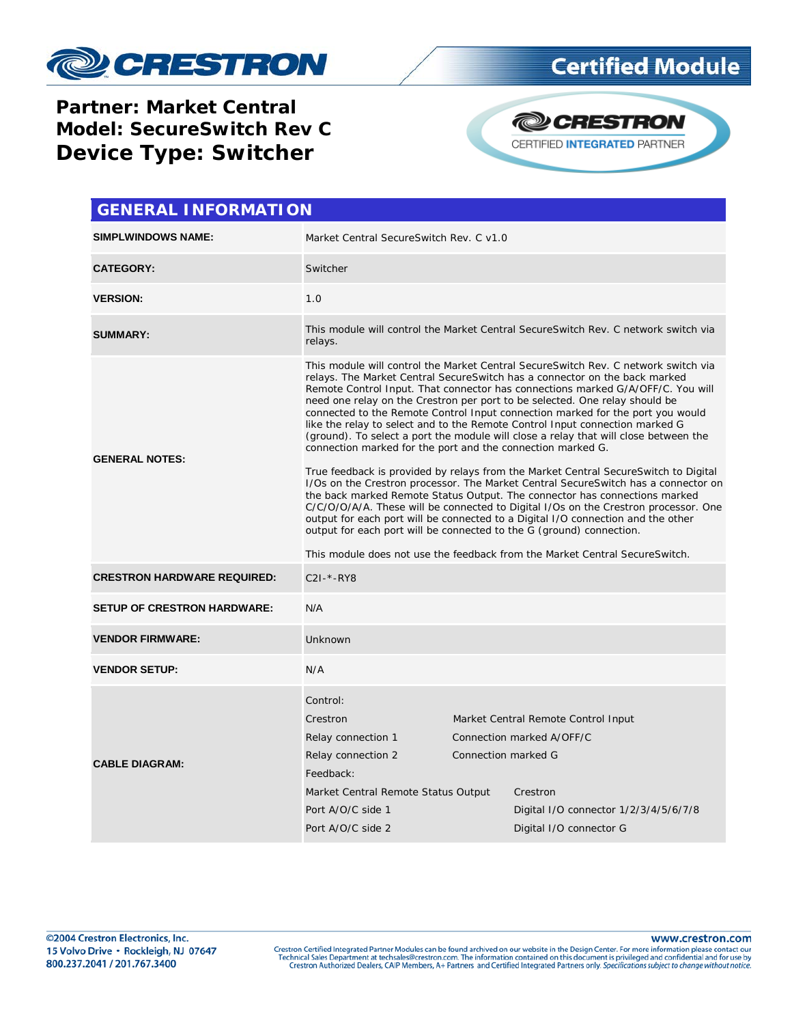

## **Certified Module**

**Partner: Market Central Model: SecureSwitch Rev C Device Type: Switcher**



| <b>GENERAL INFORMATION</b>         |                                                                                                                                                                                                                                                                                                                                                                                                                                                                                                                                                                                                                                                                                                                                                                                                                                                                                                                                                                                                                                                                                                                                                                                                                                                           |                     |                                                                                                                                                  |  |  |
|------------------------------------|-----------------------------------------------------------------------------------------------------------------------------------------------------------------------------------------------------------------------------------------------------------------------------------------------------------------------------------------------------------------------------------------------------------------------------------------------------------------------------------------------------------------------------------------------------------------------------------------------------------------------------------------------------------------------------------------------------------------------------------------------------------------------------------------------------------------------------------------------------------------------------------------------------------------------------------------------------------------------------------------------------------------------------------------------------------------------------------------------------------------------------------------------------------------------------------------------------------------------------------------------------------|---------------------|--------------------------------------------------------------------------------------------------------------------------------------------------|--|--|
| <b>SIMPLWINDOWS NAME:</b>          | Market Central SecureSwitch Rev. C v1.0                                                                                                                                                                                                                                                                                                                                                                                                                                                                                                                                                                                                                                                                                                                                                                                                                                                                                                                                                                                                                                                                                                                                                                                                                   |                     |                                                                                                                                                  |  |  |
| <b>CATEGORY:</b>                   | Switcher                                                                                                                                                                                                                                                                                                                                                                                                                                                                                                                                                                                                                                                                                                                                                                                                                                                                                                                                                                                                                                                                                                                                                                                                                                                  |                     |                                                                                                                                                  |  |  |
| <b>VERSION:</b>                    | 1.0                                                                                                                                                                                                                                                                                                                                                                                                                                                                                                                                                                                                                                                                                                                                                                                                                                                                                                                                                                                                                                                                                                                                                                                                                                                       |                     |                                                                                                                                                  |  |  |
| <b>SUMMARY:</b>                    | This module will control the Market Central SecureSwitch Rev. C network switch via<br>relays.                                                                                                                                                                                                                                                                                                                                                                                                                                                                                                                                                                                                                                                                                                                                                                                                                                                                                                                                                                                                                                                                                                                                                             |                     |                                                                                                                                                  |  |  |
| <b>GENERAL NOTES:</b>              | This module will control the Market Central Secure Switch Rev. C network switch via<br>relays. The Market Central SecureSwitch has a connector on the back marked<br>Remote Control Input. That connector has connections marked G/A/OFF/C. You will<br>need one relay on the Crestron per port to be selected. One relay should be<br>connected to the Remote Control Input connection marked for the port you would<br>like the relay to select and to the Remote Control Input connection marked G<br>(ground). To select a port the module will close a relay that will close between the<br>connection marked for the port and the connection marked G.<br>True feedback is provided by relays from the Market Central SecureSwitch to Digital<br>I/Os on the Crestron processor. The Market Central SecureSwitch has a connector on<br>the back marked Remote Status Output. The connector has connections marked<br>C/C/O/O/A/A. These will be connected to Digital I/Os on the Crestron processor. One<br>output for each port will be connected to a Digital I/O connection and the other<br>output for each port will be connected to the G (ground) connection.<br>This module does not use the feedback from the Market Central SecureSwitch. |                     |                                                                                                                                                  |  |  |
| <b>CRESTRON HARDWARE REQUIRED:</b> | $C2I - * - RY8$                                                                                                                                                                                                                                                                                                                                                                                                                                                                                                                                                                                                                                                                                                                                                                                                                                                                                                                                                                                                                                                                                                                                                                                                                                           |                     |                                                                                                                                                  |  |  |
| <b>SETUP OF CRESTRON HARDWARE:</b> | N/A                                                                                                                                                                                                                                                                                                                                                                                                                                                                                                                                                                                                                                                                                                                                                                                                                                                                                                                                                                                                                                                                                                                                                                                                                                                       |                     |                                                                                                                                                  |  |  |
| <b>VENDOR FIRMWARE:</b>            | Unknown                                                                                                                                                                                                                                                                                                                                                                                                                                                                                                                                                                                                                                                                                                                                                                                                                                                                                                                                                                                                                                                                                                                                                                                                                                                   |                     |                                                                                                                                                  |  |  |
| <b>VENDOR SETUP:</b>               | N/A                                                                                                                                                                                                                                                                                                                                                                                                                                                                                                                                                                                                                                                                                                                                                                                                                                                                                                                                                                                                                                                                                                                                                                                                                                                       |                     |                                                                                                                                                  |  |  |
| <b>CABLE DIAGRAM:</b>              | Control:<br>Crestron<br>Relay connection 1<br>Relay connection 2<br>Feedback:<br>Market Central Remote Status Output<br>Port A/O/C side 1<br>Port A/O/C side 2                                                                                                                                                                                                                                                                                                                                                                                                                                                                                                                                                                                                                                                                                                                                                                                                                                                                                                                                                                                                                                                                                            | Connection marked G | Market Central Remote Control Input<br>Connection marked A/OFF/C<br>Crestron<br>Digital I/O connector 1/2/3/4/5/6/7/8<br>Digital I/O connector G |  |  |

www.crestron.com Crestron Certified Integrated Partner Modules can be found archived on our website in the Design Center. For more information please contact our<br>Technical Sales Department at techsales@crestron.com. The information contain